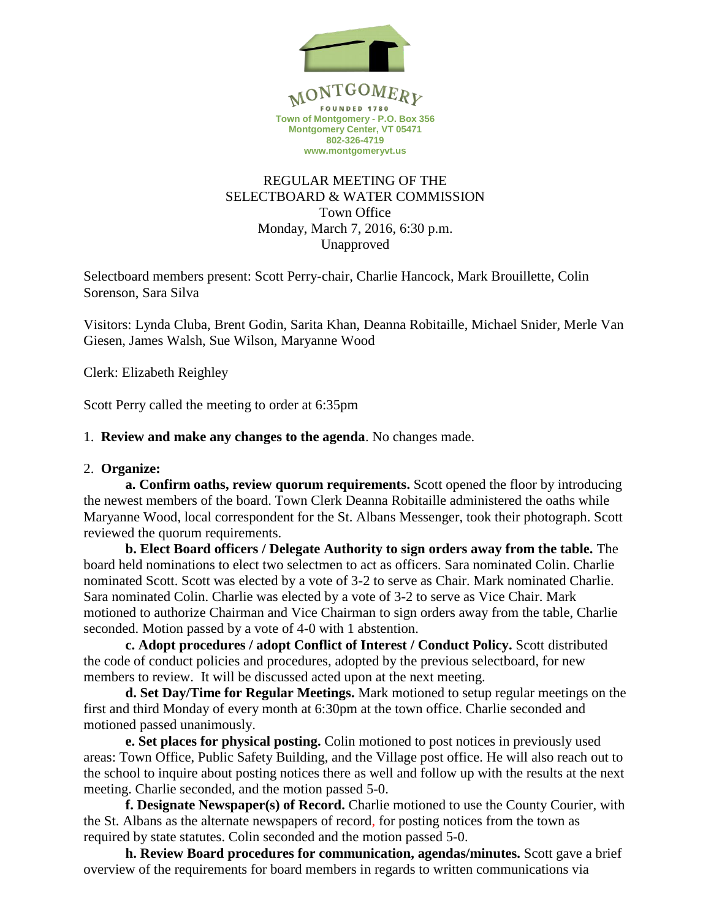

# REGULAR MEETING OF THE SELECTBOARD & WATER COMMISSION Town Office Monday, March 7, 2016, 6:30 p.m. Unapproved

Selectboard members present: Scott Perry-chair, Charlie Hancock, Mark Brouillette, Colin Sorenson, Sara Silva

Visitors: Lynda Cluba, Brent Godin, Sarita Khan, Deanna Robitaille, Michael Snider, Merle Van Giesen, James Walsh, Sue Wilson, Maryanne Wood

Clerk: Elizabeth Reighley

Scott Perry called the meeting to order at 6:35pm

#### 1. **Review and make any changes to the agenda**. No changes made.

#### 2. **Organize:**

**a. Confirm oaths, review quorum requirements.** Scott opened the floor by introducing the newest members of the board. Town Clerk Deanna Robitaille administered the oaths while Maryanne Wood, local correspondent for the St. Albans Messenger, took their photograph. Scott reviewed the quorum requirements.

**b. Elect Board officers / Delegate Authority to sign orders away from the table.** The board held nominations to elect two selectmen to act as officers. Sara nominated Colin. Charlie nominated Scott. Scott was elected by a vote of 3-2 to serve as Chair. Mark nominated Charlie. Sara nominated Colin. Charlie was elected by a vote of 3-2 to serve as Vice Chair. Mark motioned to authorize Chairman and Vice Chairman to sign orders away from the table, Charlie seconded. Motion passed by a vote of 4-0 with 1 abstention.

**c. Adopt procedures / adopt Conflict of Interest / Conduct Policy.** Scott distributed the code of conduct policies and procedures, adopted by the previous selectboard, for new members to review. It will be discussed acted upon at the next meeting.

**d. Set Day/Time for Regular Meetings.** Mark motioned to setup regular meetings on the first and third Monday of every month at 6:30pm at the town office. Charlie seconded and motioned passed unanimously.

**e. Set places for physical posting.** Colin motioned to post notices in previously used areas: Town Office, Public Safety Building, and the Village post office. He will also reach out to the school to inquire about posting notices there as well and follow up with the results at the next meeting. Charlie seconded, and the motion passed 5-0.

**f. Designate Newspaper(s) of Record.** Charlie motioned to use the County Courier, with the St. Albans as the alternate newspapers of record, for posting notices from the town as required by state statutes. Colin seconded and the motion passed 5-0.

**h. Review Board procedures for communication, agendas/minutes.** Scott gave a brief overview of the requirements for board members in regards to written communications via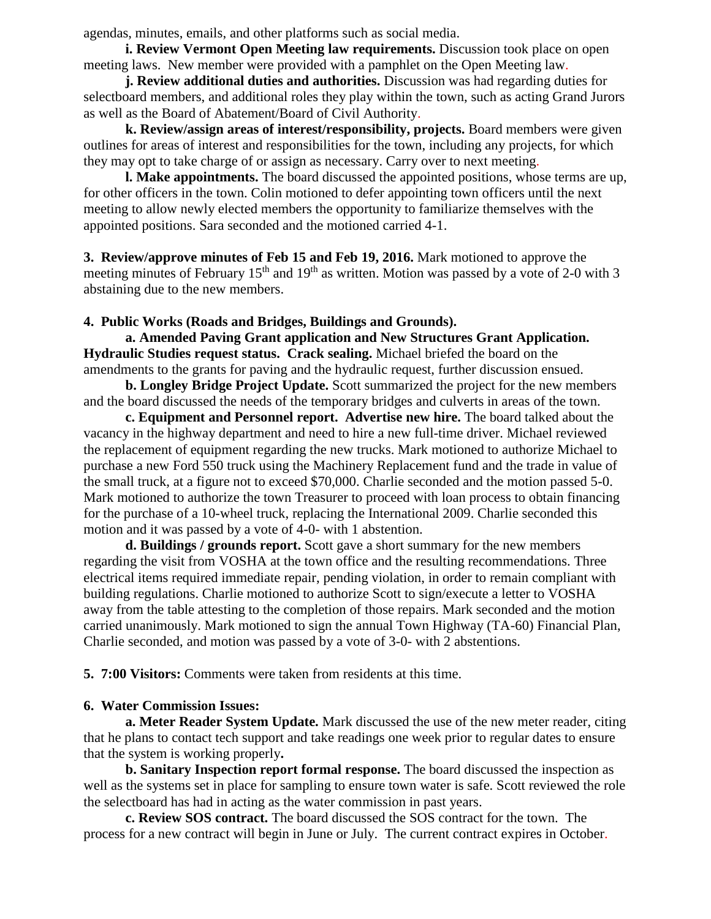agendas, minutes, emails, and other platforms such as social media.

**i. Review Vermont Open Meeting law requirements.** Discussion took place on open meeting laws. New member were provided with a pamphlet on the Open Meeting law.

**j. Review additional duties and authorities.** Discussion was had regarding duties for selectboard members, and additional roles they play within the town, such as acting Grand Jurors as well as the Board of Abatement/Board of Civil Authority.

**k. Review/assign areas of interest/responsibility, projects.** Board members were given outlines for areas of interest and responsibilities for the town, including any projects, for which they may opt to take charge of or assign as necessary. Carry over to next meeting.

**l. Make appointments.** The board discussed the appointed positions, whose terms are up, for other officers in the town. Colin motioned to defer appointing town officers until the next meeting to allow newly elected members the opportunity to familiarize themselves with the appointed positions. Sara seconded and the motioned carried 4-1.

**3. Review/approve minutes of Feb 15 and Feb 19, 2016.** Mark motioned to approve the meeting minutes of February 15<sup>th</sup> and 19<sup>th</sup> as written. Motion was passed by a vote of 2-0 with 3 abstaining due to the new members.

#### **4. Public Works (Roads and Bridges, Buildings and Grounds).**

**a. Amended Paving Grant application and New Structures Grant Application. Hydraulic Studies request status. Crack sealing.** Michael briefed the board on the amendments to the grants for paving and the hydraulic request, further discussion ensued.

**b. Longley Bridge Project Update.** Scott summarized the project for the new members and the board discussed the needs of the temporary bridges and culverts in areas of the town.

 **c. Equipment and Personnel report. Advertise new hire.** The board talked about the vacancy in the highway department and need to hire a new full-time driver. Michael reviewed the replacement of equipment regarding the new trucks. Mark motioned to authorize Michael to purchase a new Ford 550 truck using the Machinery Replacement fund and the trade in value of the small truck, at a figure not to exceed \$70,000. Charlie seconded and the motion passed 5-0. Mark motioned to authorize the town Treasurer to proceed with loan process to obtain financing for the purchase of a 10-wheel truck, replacing the International 2009. Charlie seconded this motion and it was passed by a vote of 4-0- with 1 abstention.

 **d. Buildings / grounds report.** Scott gave a short summary for the new members regarding the visit from VOSHA at the town office and the resulting recommendations. Three electrical items required immediate repair, pending violation, in order to remain compliant with building regulations. Charlie motioned to authorize Scott to sign/execute a letter to VOSHA away from the table attesting to the completion of those repairs. Mark seconded and the motion carried unanimously. Mark motioned to sign the annual Town Highway (TA-60) Financial Plan, Charlie seconded, and motion was passed by a vote of 3-0- with 2 abstentions.

**5. 7:00 Visitors:** Comments were taken from residents at this time.

# **6. Water Commission Issues:**

**a. Meter Reader System Update.** Mark discussed the use of the new meter reader, citing that he plans to contact tech support and take readings one week prior to regular dates to ensure that the system is working properly**.**

**b. Sanitary Inspection report formal response.** The board discussed the inspection as well as the systems set in place for sampling to ensure town water is safe. Scott reviewed the role the selectboard has had in acting as the water commission in past years.

**c. Review SOS contract.** The board discussed the SOS contract for the town. The process for a new contract will begin in June or July. The current contract expires in October.